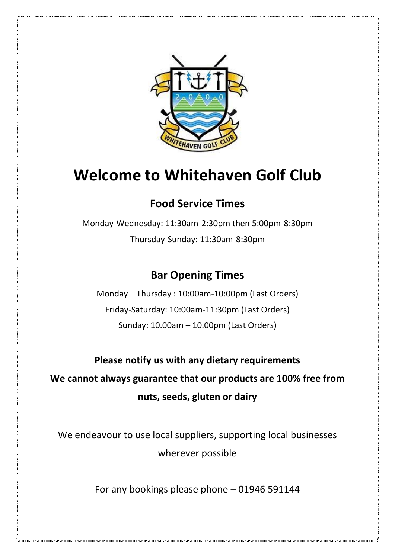

# **Welcome to Whitehaven Golf Club**

## **Food Service Times**

Monday-Wednesday: 11:30am-2:30pm then 5:00pm-8:30pm Thursday-Sunday: 11:30am-8:30pm

## **Bar Opening Times**

Monday – Thursday : 10:00am-10:00pm (Last Orders) Friday-Saturday: 10:00am-11:30pm (Last Orders) Sunday: 10.00am – 10.00pm (Last Orders)

**Please notify us with any dietary requirements We cannot always guarantee that our products are 100% free from nuts, seeds, gluten or dairy**

We endeavour to use local suppliers, supporting local businesses wherever possible

For any bookings please phone – 01946 591144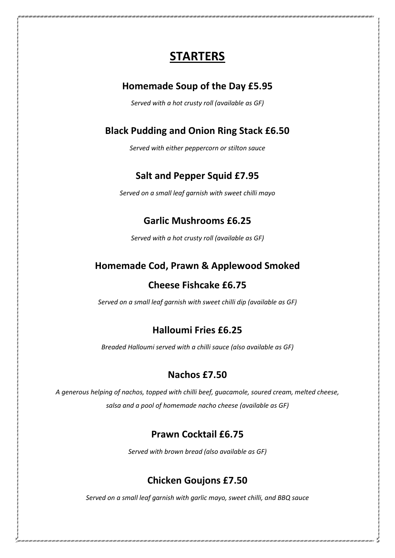## **STARTERS**

### **Homemade Soup of the Day £5.95**

*Served with a hot crusty roll (available as GF)*

## **Black Pudding and Onion Ring Stack £6.50**

*Served with either peppercorn or stilton sauce*

## **Salt and Pepper Squid £7.95**

*Served on a small leaf garnish with sweet chilli mayo*

## **Garlic Mushrooms £6.25**

*Served with a hot crusty roll (available as GF)*

## **Homemade Cod, Prawn & Applewood Smoked**

### **Cheese Fishcake £6.75**

*Served on a small leaf garnish with sweet chilli dip (available as GF)*

### **Halloumi Fries £6.25**

*Breaded Halloumi served with a chilli sauce (also available as GF)*

### **Nachos £7.50**

*A generous helping of nachos, topped with chilli beef, guacamole, soured cream, melted cheese, salsa and a pool of homemade nacho cheese (available as GF)*

### **Prawn Cocktail £6.75**

*Served with brown bread (also available as GF)*

### **Chicken Goujons £7.50**

*Served on a small leaf garnish with garlic mayo, sweet chilli, and BBQ sauce*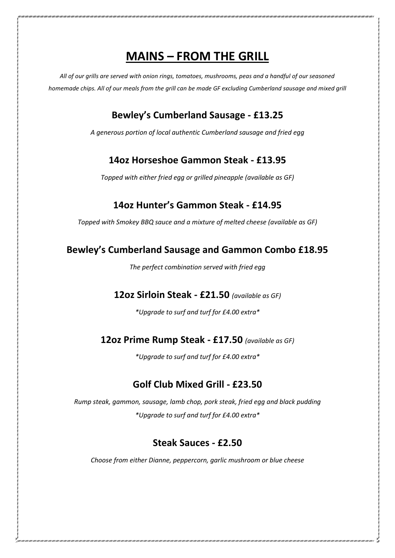## **MAINS – FROM THE GRILL**

*All of our grills are served with onion rings, tomatoes, mushrooms, peas and a handful of our seasoned homemade chips. All of our meals from the grill can be made GF excluding Cumberland sausage and mixed grill*

## **Bewley's Cumberland Sausage - £13.25**

*A generous portion of local authentic Cumberland sausage and fried egg*

## **14oz Horseshoe Gammon Steak - £13.95**

*Topped with either fried egg or grilled pineapple (available as GF)*

## **14oz Hunter's Gammon Steak - £14.95**

*Topped with Smokey BBQ sauce and a mixture of melted cheese (available as GF)*

## **Bewley's Cumberland Sausage and Gammon Combo £18.95**

*The perfect combination served with fried egg*

#### **12oz Sirloin Steak - £21.50** *(available as GF)*

*\*Upgrade to surf and turf for £4.00 extra\**

### **12oz Prime Rump Steak - £17.50** *(available as GF)*

*\*Upgrade to surf and turf for £4.00 extra\**

### **Golf Club Mixed Grill - £23.50**

*Rump steak, gammon, sausage, lamb chop, pork steak, fried egg and black pudding \*Upgrade to surf and turf for £4.00 extra\**

### **Steak Sauces - £2.50**

*Choose from either Dianne, peppercorn, garlic mushroom or blue cheese*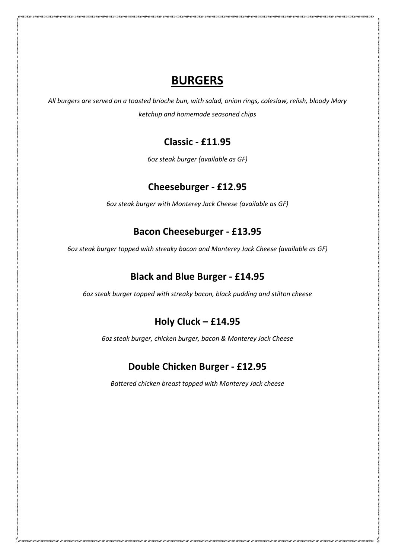## **BURGERS**

*All burgers are served on a toasted brioche bun, with salad, onion rings, coleslaw, relish, bloody Mary ketchup and homemade seasoned chips*

## **Classic - £11.95**

*6oz steak burger (available as GF)*

## **Cheeseburger - £12.95**

*6oz steak burger with Monterey Jack Cheese (available as GF)*

## **Bacon Cheeseburger - £13.95**

*6oz steak burger topped with streaky bacon and Monterey Jack Cheese (available as GF)*

## **Black and Blue Burger - £14.95**

*6oz steak burger topped with streaky bacon, black pudding and stilton cheese*

## **Holy Cluck – £14.95**

*6oz steak burger, chicken burger, bacon & Monterey Jack Cheese* 

### **Double Chicken Burger - £12.95**

*Battered chicken breast topped with Monterey Jack cheese*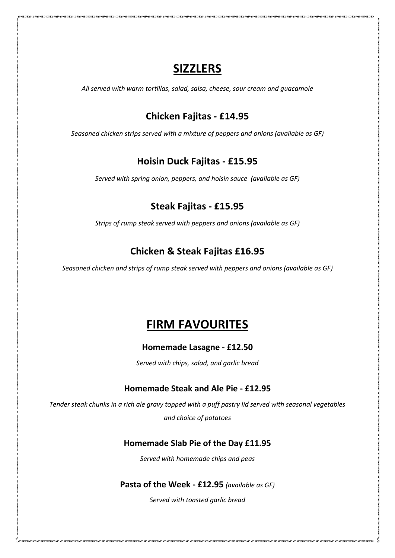## **SIZZLERS**

*All served with warm tortillas, salad, salsa, cheese, sour cream and guacamole*

## **Chicken Fajitas - £14.95**

*Seasoned chicken strips served with a mixture of peppers and onions (available as GF)*

## **Hoisin Duck Fajitas - £15.95**

*Served with spring onion, peppers, and hoisin sauce (available as GF)*

## **Steak Fajitas - £15.95**

*Strips of rump steak served with peppers and onions (available as GF)*

## **Chicken & Steak Fajitas £16.95**

*Seasoned chicken and strips of rump steak served with peppers and onions (available as GF)*

## **FIRM FAVOURITES**

#### **Homemade Lasagne - £12.50**

*Served with chips, salad, and garlic bread*

#### **Homemade Steak and Ale Pie - £12.95**

*Tender steak chunks in a rich ale gravy topped with a puff pastry lid served with seasonal vegetables and choice of potatoes*

#### **Homemade Slab Pie of the Day £11.95**

*Served with homemade chips and peas*

#### **Pasta of the Week - £12.95** *(available as GF)*

*Served with toasted garlic bread*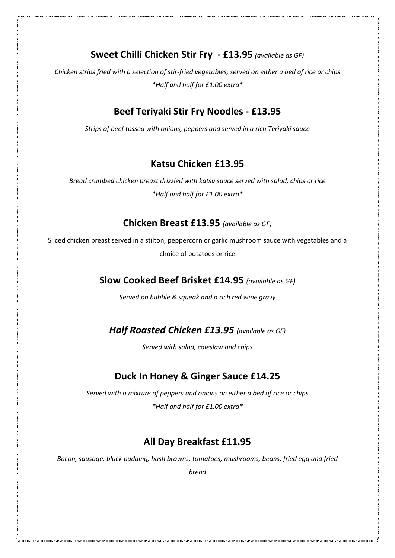**Sweet Chilli Chicken Stir Fry - £13.95** *(available as GF)*

*Chicken strips fried with a selection of stir-fried vegetables, served on either a bed of rice or chips \*Half and half for £1.00 extra\**

## **Beef Teriyaki Stir Fry Noodles - £13.95**

*Strips of beef tossed with onions, peppers and served in a rich Teriyaki sauce* 

## **Katsu Chicken £13.95**

*Bread crumbed chicken breast drizzled with katsu sauce served with salad, chips or rice \*Half and half for £1.00 extra\**

#### **Chicken Breast £13.95** *(available as GF)*

Sliced chicken breast served in a stilton, peppercorn or garlic mushroom sauce with vegetables and a choice of potatoes or rice

## **Slow Cooked Beef Brisket £14.95** *(available as GF)*

*Served on bubble & squeak and a rich red wine gravy* 

*Half Roasted Chicken £13.95 (available as GF)*

*Served with salad, coleslaw and chips*

## **Duck In Honey & Ginger Sauce £14.25**

*Served with a mixture of peppers and onions on either a bed of rice or chips \*Half and half for £1.00 extra\**

## **All Day Breakfast £11.95**

*Bacon, sausage, black pudding, hash browns, tomatoes, mushrooms, beans, fried egg and fried* 

*bread*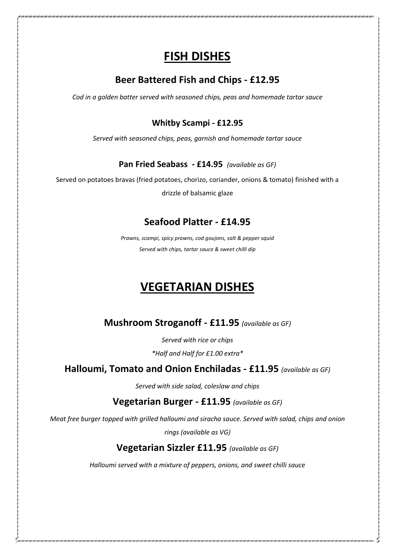## **FISH DISHES**

## **Beer Battered Fish and Chips - £12.95**

*Cod in a golden batter served with seasoned chips, peas and homemade tartar sauce*

#### **Whitby Scampi - £12.95**

*Served with seasoned chips, peas, garnish and homemade tartar sauce* 

#### **Pan Fried Seabass - £14.95** *(available as GF)*

Served on potatoes bravas (fried potatoes, chorizo, coriander, onions & tomato) finished with a

drizzle of balsamic glaze

## **Seafood Platter - £14.95**

*Prawns, scampi, spicy prawns, cod goujons, salt & pepper squid Served with chips, tartar sauce & sweet chilli dip* 

## **VEGETARIAN DISHES**

**Mushroom Stroganoff - £11.95** *(available as GF)*

*Served with rice or chips* 

*\*Half and Half for £1.00 extra\**

#### **Halloumi, Tomato and Onion Enchiladas - £11.95** *(available as GF)*

*Served with side salad, coleslaw and chips*

**Vegetarian Burger - £11.95** *(available as GF)*

*Meat free burger topped with grilled halloumi and siracha sauce. Served with salad, chips and onion* 

*rings (available as VG)*

## **Vegetarian Sizzler £11.95** *(available as GF)*

*Halloumi served with a mixture of peppers, onions, and sweet chilli sauce*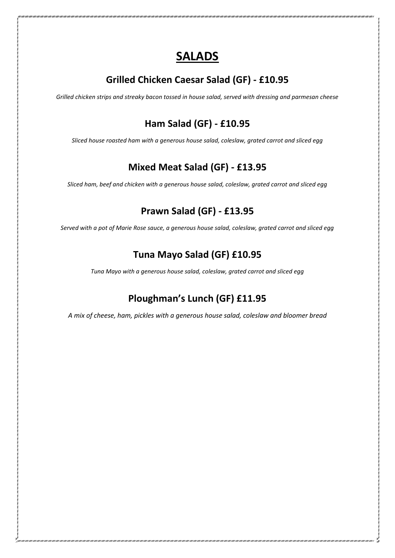## **SALADS**

## **Grilled Chicken Caesar Salad (GF) - £10.95**

*Grilled chicken strips and streaky bacon tossed in house salad, served with dressing and parmesan cheese*

## **Ham Salad (GF) - £10.95**

*Sliced house roasted ham with a generous house salad, coleslaw, grated carrot and sliced egg* 

## **Mixed Meat Salad (GF) - £13.95**

*Sliced ham, beef and chicken with a generous house salad, coleslaw, grated carrot and sliced egg* 

## **Prawn Salad (GF) - £13.95**

*Served with a pot of Marie Rose sauce, a generous house salad, coleslaw, grated carrot and sliced egg*

## **Tuna Mayo Salad (GF) £10.95**

*Tuna Mayo with a generous house salad, coleslaw, grated carrot and sliced egg*

## **Ploughman's Lunch (GF) £11.95**

*A mix of cheese, ham, pickles with a generous house salad, coleslaw and bloomer bread*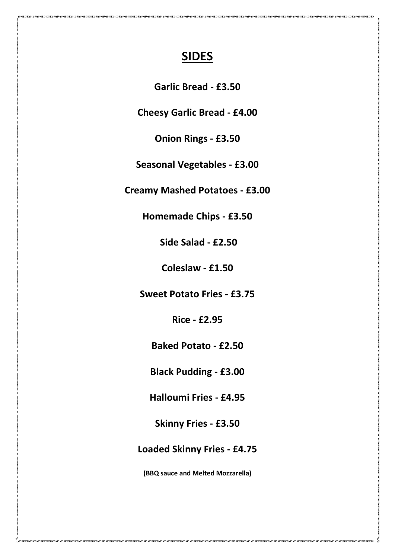## **SIDES**

**Garlic Bread - £3.50**

**Cheesy Garlic Bread - £4.00**

**Onion Rings - £3.50**

**Seasonal Vegetables - £3.00**

**Creamy Mashed Potatoes - £3.00**

**Homemade Chips - £3.50**

**Side Salad - £2.50**

**Coleslaw - £1.50**

**Sweet Potato Fries - £3.75**

**Rice - £2.95**

**Baked Potato - £2.50**

**Black Pudding - £3.00**

**Halloumi Fries - £4.95**

**Skinny Fries - £3.50**

**Loaded Skinny Fries - £4.75**

**(BBQ sauce and Melted Mozzarella)**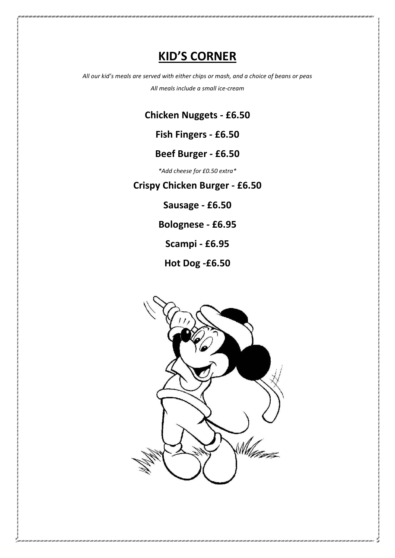## **KID'S CORNER**

*All our kid's meals are served with either chips or mash, and a choice of beans or peas All meals include a small ice-cream* 

**Chicken Nuggets - £6.50**

**Fish Fingers - £6.50**

## **Beef Burger - £6.50**

*\*Add cheese for £0.50 extra\**

**Crispy Chicken Burger - £6.50**

**Sausage - £6.50**

**Bolognese - £6.95** 

**Scampi - £6.95**

**Hot Dog -£6.50**

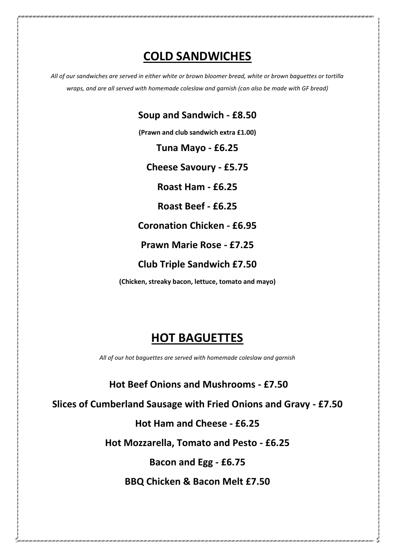## **COLD SANDWICHES**

*All of our sandwiches are served in either white or brown bloomer bread, white or brown baguettes or tortilla wraps, and are all served with homemade coleslaw and garnish (can also be made with GF bread)*

**Soup and Sandwich - £8.50**

**(Prawn and club sandwich extra £1.00)**

**Tuna Mayo - £6.25**

**Cheese Savoury - £5.75**

**Roast Ham - £6.25**

**Roast Beef - £6.25**

**Coronation Chicken - £6.95**

**Prawn Marie Rose - £7.25**

**Club Triple Sandwich £7.50**

**(Chicken, streaky bacon, lettuce, tomato and mayo)**

## **HOT BAGUETTES**

*All of our hot baguettes are served with homemade coleslaw and garnish*

**Hot Beef Onions and Mushrooms - £7.50**

**Slices of Cumberland Sausage with Fried Onions and Gravy - £7.50**

**Hot Ham and Cheese - £6.25**

**Hot Mozzarella, Tomato and Pesto - £6.25**

**Bacon and Egg - £6.75**

**BBQ Chicken & Bacon Melt £7.50**